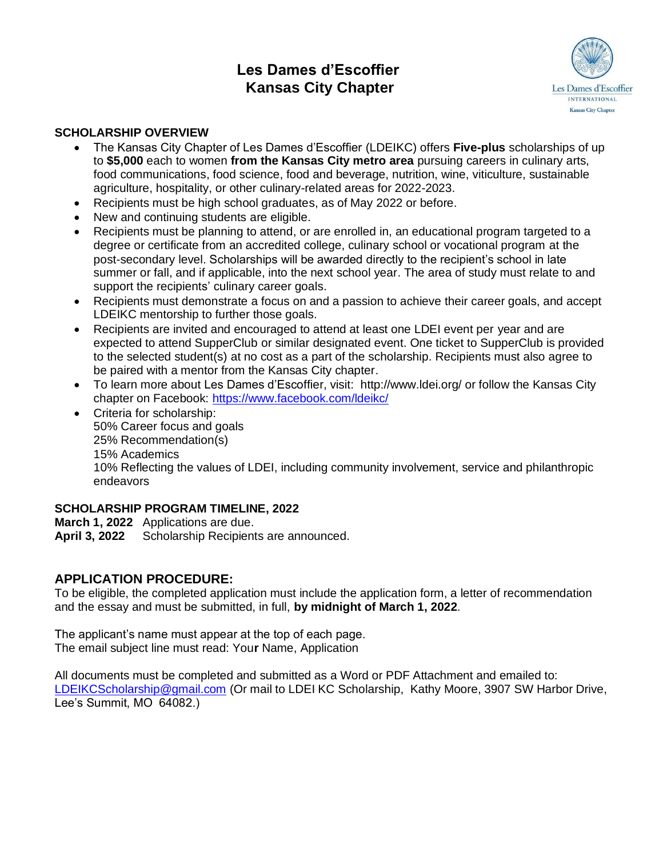# **Les Dames d'Escoffier Kansas City Chapter**



# **SCHOLARSHIP OVERVIEW**

- The Kansas City Chapter of Les Dames d'Escoffier (LDEIKC) offers **Five-plus** scholarships of up to **\$5,000** each to women **from the Kansas City metro area** pursuing careers in culinary arts, food communications, food science, food and beverage, nutrition, wine, viticulture, sustainable agriculture, hospitality, or other culinary-related areas for 2022-2023.
- Recipients must be high school graduates, as of May 2022 or before.
- New and continuing students are eligible.
- Recipients must be planning to attend, or are enrolled in, an educational program targeted to a degree or certificate from an accredited college, culinary school or vocational program at the post-secondary level. Scholarships will be awarded directly to the recipient's school in late summer or fall, and if applicable, into the next school year. The area of study must relate to and support the recipients' culinary career goals.
- Recipients must demonstrate a focus on and a passion to achieve their career goals, and accept LDEIKC mentorship to further those goals.
- Recipients are invited and encouraged to attend at least one LDEI event per year and are expected to attend SupperClub or similar designated event. One ticket to SupperClub is provided to the selected student(s) at no cost as a part of the scholarship. Recipients must also agree to be paired with a mentor from the Kansas City chapter.
- To learn more about Les Dames d'Escoffier, visit: http://www.ldei.org/ or follow the Kansas City chapter on Facebook: <https://www.facebook.com/ldeikc/>
- Criteria for scholarship: 50% Career focus and goals 25% Recommendation(s) 15% Academics 10% Reflecting the values of LDEI, including community involvement, service and philanthropic endeavors

# **SCHOLARSHIP PROGRAM TIMELINE, 2022**

**March 1, 2022** Applications are due.

**April 3, 2022** Scholarship Recipients are announced.

# **APPLICATION PROCEDURE:**

To be eligible, the completed application must include the application form, a letter of recommendation and the essay and must be submitted, in full, **by midnight of March 1, 2022**.

The applicant's name must appear at the top of each page. The email subject line must read: You**r** Name, Application

All documents must be completed and submitted as a Word or PDF Attachment and emailed to: [LDEIKCScholarship@gmail.com](mailto:LDEIKCScholarship@gmail.com) (Or mail to LDEI KC Scholarship, Kathy Moore, 3907 SW Harbor Drive, Lee's Summit, MO 64082.)